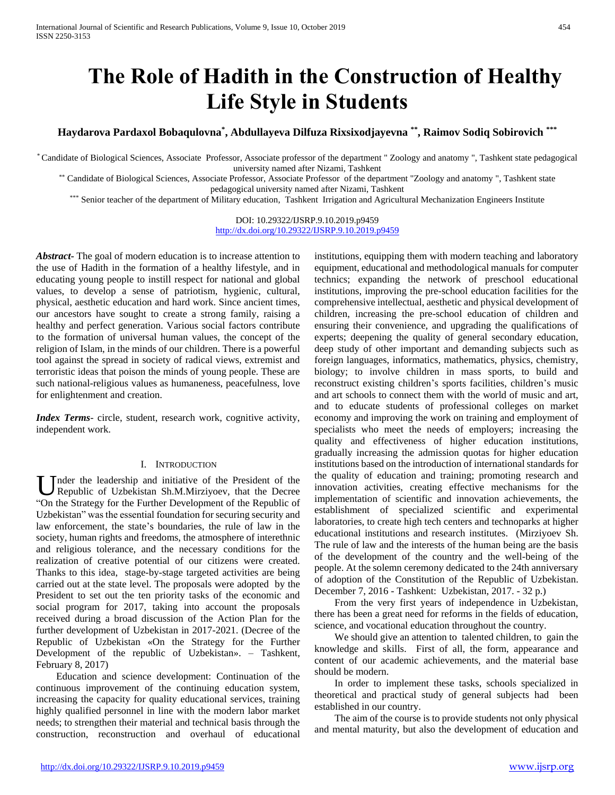# **The Role of Hadith in the Construction of Healthy Life Style in Students**

**Haydarova Pardaxol Bobaqulovna\* , Abdullayeva Dilfuza Rixsixodjayevna \*\* , Raimov Sodiq Sobirovich \*\*\***

\* Candidate of Biological Sciences, Associate Professor, Associate professor of the department " Zoology and anatomy ", Tashkent state pedagogical university named after Nizami, Tashkent

\*\* Candidate of Biological Sciences, Associate Professor, Associate Professor of the department "Zoology and anatomy ", Tashkent state pedagogical university named after Nizami, Tashkent

\*\*\* Senior teacher of the department of Military education, Tashkent Irrigation and Agricultural Mechanization Engineers Institute

### DOI: 10.29322/IJSRP.9.10.2019.p9459 <http://dx.doi.org/10.29322/IJSRP.9.10.2019.p9459>

*Abstract***-** The goal of modern education is to increase attention to the use of Hadith in the formation of a healthy lifestyle, and in educating young people to instill respect for national and global values, to develop a sense of patriotism, hygienic, cultural, physical, aesthetic education and hard work. Since ancient times, our ancestors have sought to create a strong family, raising a healthy and perfect generation. Various social factors contribute to the formation of universal human values, the concept of the religion of Islam, in the minds of our children. There is a powerful tool against the spread in society of radical views, extremist and terroristic ideas that poison the minds of young people. These are such national-religious values as humaneness, peacefulness, love for enlightenment and creation.

*Index Terms*- circle, student, research work, cognitive activity, independent work.

## I. INTRODUCTION

nder the leadership and initiative of the President of the Under the leadership and initiative of the President of the Republic of Uzbekistan Sh.M.Mirziyoev, that the Decree "On the Strategy for the Further Development of the Republic of Uzbekistan" was the essential foundation for securing security and law enforcement, the state's boundaries, the rule of law in the society, human rights and freedoms, the atmosphere of interethnic and religious tolerance, and the necessary conditions for the realization of creative potential of our citizens were created. Thanks to this idea, stage-by-stage targeted activities are being carried out at the state level. The proposals were adopted by the President to set out the ten priority tasks of the economic and social program for 2017, taking into account the proposals received during a broad discussion of the Action Plan for the further development of Uzbekistan in 2017-2021. (Decree of the Republic of Uzbekistan «On the Strategy for the Further Development of the republic of Uzbekistan». – Tashkent, February 8, 2017)

 Education and science development: Continuation of the continuous improvement of the continuing education system, increasing the capacity for quality educational services, training highly qualified personnel in line with the modern labor market needs; to strengthen their material and technical basis through the construction, reconstruction and overhaul of educational

institutions, equipping them with modern teaching and laboratory equipment, educational and methodological manuals for computer technics; expanding the network of preschool educational institutions, improving the pre-school education facilities for the comprehensive intellectual, aesthetic and physical development of children, increasing the pre-school education of children and ensuring their convenience, and upgrading the qualifications of experts; deepening the quality of general secondary education, deep study of other important and demanding subjects such as foreign languages, informatics, mathematics, physics, chemistry, biology; to involve children in mass sports, to build and reconstruct existing children's sports facilities, children's music and art schools to connect them with the world of music and art, and to educate students of professional colleges on market economy and improving the work on training and employment of specialists who meet the needs of employers; increasing the quality and effectiveness of higher education institutions, gradually increasing the admission quotas for higher education institutions based on the introduction of international standards for the quality of education and training; promoting research and innovation activities, creating effective mechanisms for the implementation of scientific and innovation achievements, the establishment of specialized scientific and experimental laboratories, to create high tech centers and technoparks at higher educational institutions and research institutes. (Mirziyoev Sh. The rule of law and the interests of the human being are the basis of the development of the country and the well-being of the people. At the solemn ceremony dedicated to the 24th anniversary of adoption of the Constitution of the Republic of Uzbekistan. December 7, 2016 - Tashkent: Uzbekistan, 2017. - 32 p.)

 From the very first years of independence in Uzbekistan, there has been a great need for reforms in the fields of education, science, and vocational education throughout the country.

We should give an attention to talented children, to gain the knowledge and skills. First of all, the form, appearance and content of our academic achievements, and the material base should be modern.

 In order to implement these tasks, schools specialized in theoretical and practical study of general subjects had been established in our country.

 The aim of the course is to provide students not only physical and mental maturity, but also the development of education and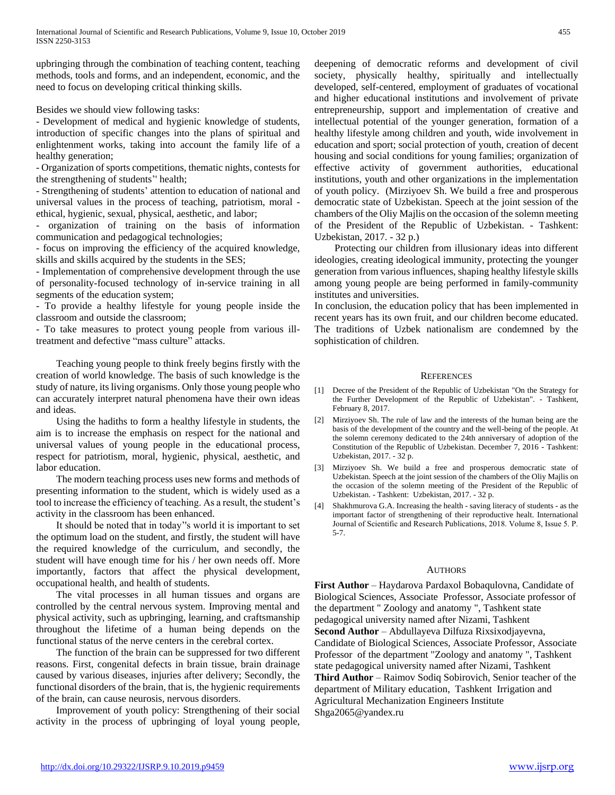upbringing through the combination of teaching content, teaching methods, tools and forms, and an independent, economic, and the need to focus on developing critical thinking skills.

Besides we should view following tasks:

- Development of medical and hygienic knowledge of students, introduction of specific changes into the plans of spiritual and enlightenment works, taking into account the family life of a healthy generation;

- Organization of sports competitions, thematic nights, contests for the strengthening of students'' health;

- Strengthening of students' attention to education of national and universal values in the process of teaching, patriotism, moral ethical, hygienic, sexual, physical, aesthetic, and labor;

- organization of training on the basis of information communication and pedagogical technologies;

- focus on improving the efficiency of the acquired knowledge, skills and skills acquired by the students in the SES;

- Implementation of comprehensive development through the use of personality-focused technology of in-service training in all segments of the education system;

- To provide a healthy lifestyle for young people inside the classroom and outside the classroom;

- To take measures to protect young people from various illtreatment and defective "mass culture" attacks.

 Teaching young people to think freely begins firstly with the creation of world knowledge. The basis of such knowledge is the study of nature, its living organisms. Only those young people who can accurately interpret natural phenomena have their own ideas and ideas.

 Using the hadiths to form a healthy lifestyle in students, the aim is to increase the emphasis on respect for the national and universal values of young people in the educational process, respect for patriotism, moral, hygienic, physical, aesthetic, and labor education.

 The modern teaching process uses new forms and methods of presenting information to the student, which is widely used as a tool to increase the efficiency of teaching. As a result, the student's activity in the classroom has been enhanced.

 It should be noted that in today''s world it is important to set the optimum load on the student, and firstly, the student will have the required knowledge of the curriculum, and secondly, the student will have enough time for his / her own needs off. More importantly, factors that affect the physical development, occupational health, and health of students.

 The vital processes in all human tissues and organs are controlled by the central nervous system. Improving mental and physical activity, such as upbringing, learning, and craftsmanship throughout the lifetime of a human being depends on the functional status of the nerve centers in the cerebral cortex.

 The function of the brain can be suppressed for two different reasons. First, congenital defects in brain tissue, brain drainage caused by various diseases, injuries after delivery; Secondly, the functional disorders of the brain, that is, the hygienic requirements of the brain, can cause neurosis, nervous disorders.

 Improvement of youth policy: Strengthening of their social activity in the process of upbringing of loyal young people, deepening of democratic reforms and development of civil society, physically healthy, spiritually and intellectually developed, self-centered, employment of graduates of vocational and higher educational institutions and involvement of private entrepreneurship, support and implementation of creative and intellectual potential of the younger generation, formation of a healthy lifestyle among children and youth, wide involvement in education and sport; social protection of youth, creation of decent housing and social conditions for young families; organization of effective activity of government authorities, educational institutions, youth and other organizations in the implementation of youth policy. (Mirziyoev Sh. We build a free and prosperous democratic state of Uzbekistan. Speech at the joint session of the chambers of the Oliy Majlis on the occasion of the solemn meeting of the President of the Republic of Uzbekistan. - Tashkent: Uzbekistan, 2017. - 32 p.)

 Protecting our children from illusionary ideas into different ideologies, creating ideological immunity, protecting the younger generation from various influences, shaping healthy lifestyle skills among young people are being performed in family-community institutes and universities.

In conclusion, the education policy that has been implemented in recent years has its own fruit, and our children become educated. The traditions of Uzbek nationalism are condemned by the sophistication of children.

## **REFERENCES**

- [1] Decree of the President of the Republic of Uzbekistan "On the Strategy for the Further Development of the Republic of Uzbekistan". - Tashkent, February 8, 2017.
- [2] Mirziyoev Sh. The rule of law and the interests of the human being are the basis of the development of the country and the well-being of the people. At the solemn ceremony dedicated to the 24th anniversary of adoption of the Constitution of the Republic of Uzbekistan. December 7, 2016 - Tashkent: Uzbekistan, 2017. - 32 p.
- [3] Mirziyoev Sh. We build a free and prosperous democratic state of Uzbekistan. Speech at the joint session of the chambers of the Oliy Majlis on the occasion of the solemn meeting of the President of the Republic of Uzbekistan. - Tashkent: Uzbekistan, 2017. - 32 p.
- [4] Shakhmurova G.A. Increasing the health saving literacy of students as the important factor of strengthening of their reproductive healt. International Journal of Scientific and Research Publications, 2018. Volume 8, Issue 5. Р. 5-7.

## AUTHORS

First Author - Haydarova Pardaxol Bobaqulovna, Candidate of Biological Sciences, Associate Professor, Associate professor of the department " Zoology and anatomy ", Tashkent state pedagogical university named after Nizami, Tashkent **Second Author** – Abdullayeva Dilfuza Rixsixodjayevna, Candidate of Biological Sciences, Associate Professor, Associate Professor of the department "Zoology and anatomy ", Tashkent state pedagogical university named after Nizami, Tashkent **Third Author** – Raimov Sodiq Sobirovich, Senior teacher of the department of Military education, Tashkent Irrigation and Agricultural Mechanization Engineers Institute Shga2065@yandex.ru